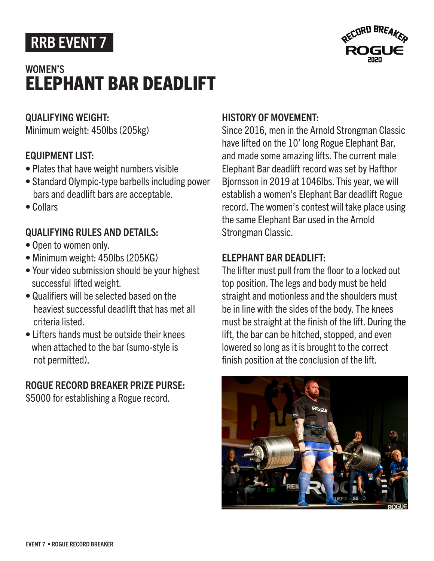# RRB EVENT 7

## ELEPHANT BAR DEADLIFT WOMEN'S



#### QUALIFYING WEIGHT:

Minimum weight: 450lbs (205kg)

### EQUIPMENT LIST:

- Plates that have weight numbers visible
- Standard Olympic-type barbells including power bars and deadlift bars are acceptable.
- Collars

## QUALIFYING RULES AND DETAILS:

- Open to women only.
- Minimum weight: 450lbs (205KG)
- Your video submission should be your highest successful lifted weight.
- Qualifiers will be selected based on the heaviest successful deadlift that has met all criteria listed.
- Lifters hands must be outside their knees when attached to the bar (sumo-style is not permitted).

### ROGUE RECORD BREAKER PRIZE PURSE:

\$5000 for establishing a Rogue record.

## HISTORY OF MOVEMENT:

Since 2016, men in the Arnold Strongman Classic have lifted on the 10' long Rogue Elephant Bar, and made some amazing lifts. The current male Elephant Bar deadlift record was set by Hafthor Bjornsson in 2019 at 1046lbs. This year, we will establish a women's Elephant Bar deadlift Rogue record. The women's contest will take place using the same Elephant Bar used in the Arnold Strongman Classic.

## ELEPHANT BAR DEADLIFT:

The lifter must pull from the floor to a locked out top position. The legs and body must be held straight and motionless and the shoulders must be in line with the sides of the body. The knees must be straight at the finish of the lift. During the lift, the bar can be hitched, stopped, and even lowered so long as it is brought to the correct finish position at the conclusion of the lift.